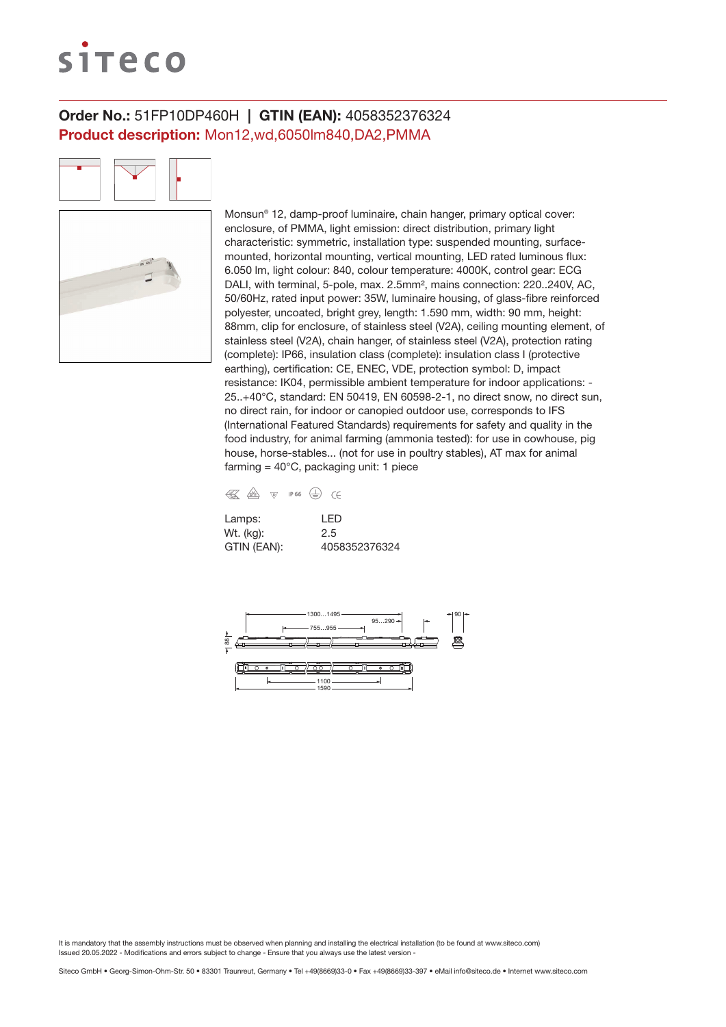# siteco

# Order No.: 51FP10DP460H | GTIN (EAN): 4058352376324 Product description: Mon12,wd,6050lm840,DA2,PMMA

Monsun® 12, damp-proof luminaire, chain hanger, primary optical cover: enclosure, of PMMA, light emission: direct distribution, primary light characteristic: symmetric, installation type: suspended mounting, surfacemounted, horizontal mounting, vertical mounting, LED rated luminous flux: 6.050 lm, light colour: 840, colour temperature: 4000K, control gear: ECG DALI, with terminal, 5-pole, max. 2.5mm², mains connection: 220..240V, AC, 50/60Hz, rated input power: 35W, luminaire housing, of glass-fibre reinforced polyester, uncoated, bright grey, length: 1.590 mm, width: 90 mm, height: 88mm, clip for enclosure, of stainless steel (V2A), ceiling mounting element, of stainless steel (V2A), chain hanger, of stainless steel (V2A), protection rating (complete): IP66, insulation class (complete): insulation class I (protective earthing), certification: CE, ENEC, VDE, protection symbol: D, impact resistance: IK04, permissible ambient temperature for indoor applications: - 25..+40°C, standard: EN 50419, EN 60598-2-1, no direct snow, no direct sun, no direct rain, for indoor or canopied outdoor use, corresponds to IFS (International Featured Standards) requirements for safety and quality in the food industry, for animal farming (ammonia tested): for use in cowhouse, pig house, horse-stables... (not for use in poultry stables), AT max for animal farming =  $40^{\circ}$ C, packaging unit: 1 piece

| € | / <sub>D</sub> V <sub>E</sub> | \@7 | <b>IP 66</b> |  |
|---|-------------------------------|-----|--------------|--|
|   |                               |     |              |  |

| Lamps:      | I FD          |
|-------------|---------------|
| Wt. (kg):   | 2.5           |
| GTIN (EAN): | 4058352376324 |

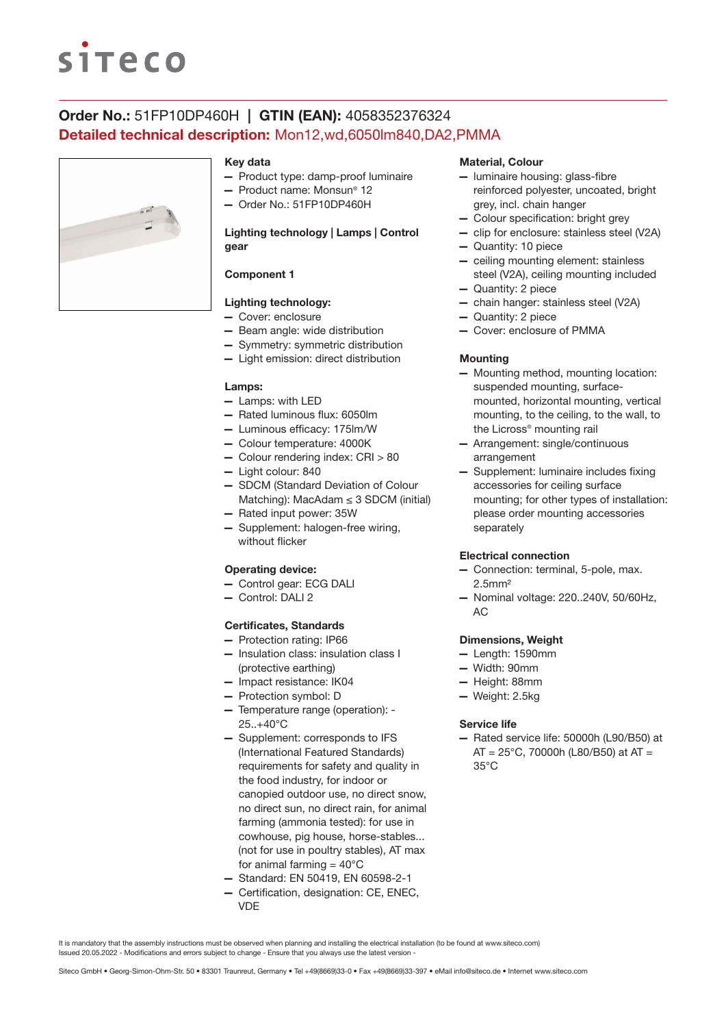# **siteco**

# Order No.: 51FP10DP460H | GTIN (EAN): 4058352376324 Detailed technical description: Mon12,wd,6050lm840,DA2,PMMA



### Key data

- Product type: damp-proof luminaire
- Product name: Monsun® 12
- Order No.: 51FP10DP460H

## Lighting technology | Lamps | Control gear

# Component 1

# Lighting technology:

- Cover: enclosure
- Beam angle: wide distribution
- Symmetry: symmetric distribution
- Light emission: direct distribution

#### Lamps:

- Lamps: with LED
- Rated luminous flux: 6050lm
- Luminous efficacy: 175lm/W
- Colour temperature: 4000K
- Colour rendering index: CRI > 80
- Light colour: 840
- SDCM (Standard Deviation of Colour Matching): MacAdam  $\leq$  3 SDCM (initial)
- Rated input power: 35W
- Supplement: halogen-free wiring, without flicker

## Operating device:

- Control gear: ECG DALI
- Control: DALI 2

### Certificates, Standards

- Protection rating: IP66
- Insulation class: insulation class I (protective earthing)
- Impact resistance: IK04
- Protection symbol: D
- Temperature range (operation): 25..+40°C
- Supplement: corresponds to IFS (International Featured Standards) requirements for safety and quality in the food industry, for indoor or canopied outdoor use, no direct snow, no direct sun, no direct rain, for animal farming (ammonia tested): for use in cowhouse, pig house, horse-stables... (not for use in poultry stables), AT max for animal farming  $= 40^{\circ}$ C
- Standard: EN 50419, EN 60598-2-1
- Certification, designation: CE, ENEC, VDE

### Material, Colour

- luminaire housing: glass-fibre reinforced polyester, uncoated, bright grey, incl. chain hanger
- Colour specification: bright grey
- clip for enclosure: stainless steel (V2A)
- Quantity: 10 piece
- ceiling mounting element: stainless steel (V2A), ceiling mounting included
- Quantity: 2 piece
- chain hanger: stainless steel (V2A)
- Quantity: 2 piece
- Cover: enclosure of PMMA

#### **Mounting**

- Mounting method, mounting location: suspended mounting, surfacemounted, horizontal mounting, vertical mounting, to the ceiling, to the wall, to the Licross® mounting rail
- Arrangement: single/continuous arrangement
- Supplement: luminaire includes fixing accessories for ceiling surface mounting; for other types of installation: please order mounting accessories separately

#### Electrical connection

- Connection: terminal, 5-pole, max. 2.5mm²
- Nominal voltage: 220..240V, 50/60Hz, AC

#### Dimensions, Weight

- Length: 1590mm
- Width: 90mm
- Height: 88mm
- Weight: 2.5kg

#### Service life

— Rated service life: 50000h (L90/B50) at  $AT = 25^{\circ}$ C, 70000h (L80/B50) at AT = 35°C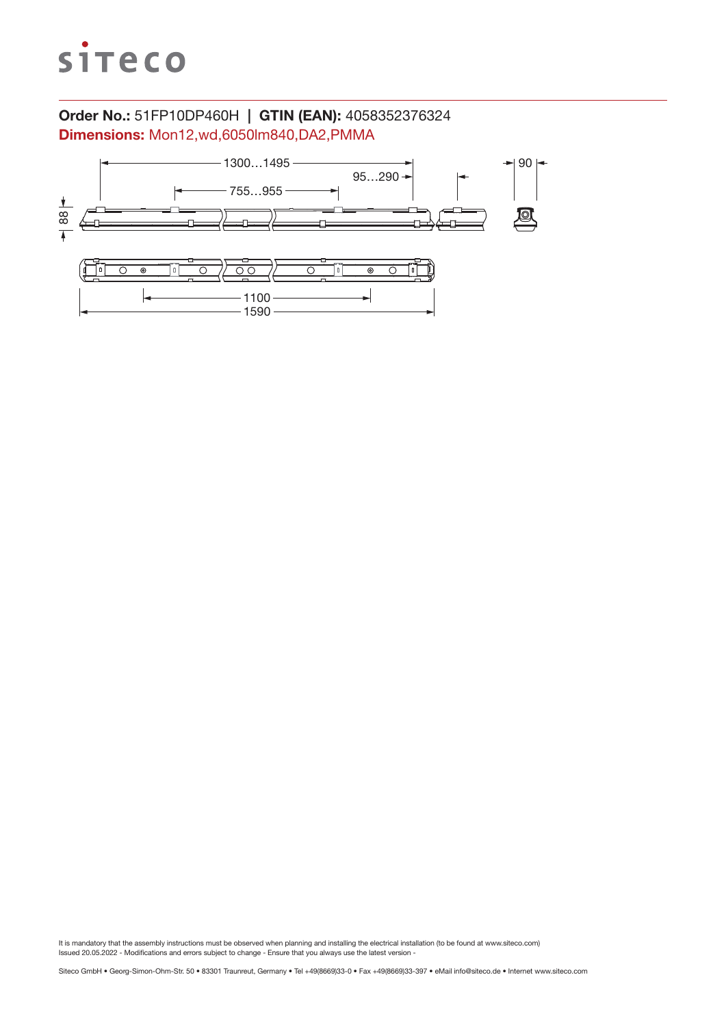

# Order No.: 51FP10DP460H | GTIN (EAN): 4058352376324 Dimensions: Mon12,wd,6050lm840,DA2,PMMA